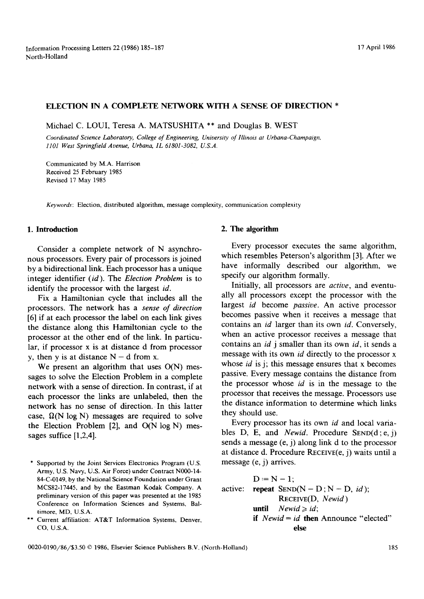#### ELECTION IN A COMPLETE NETWORK WITH A SENSE OF DIRECTION \*

Michael C. LOUI, Teresa A. MATSUSHITA \*\* and Douglas B. WEST

*Coordinated Science Laboratory, College of Engineering, University of Illinois at Urbana-Champaign, 1101 West SpringfieM Avenue, Urbana, IL 61801-3082, U.S.A.* 

Communicated by M.A. Harrison Received 25 February 1985 Revised 17 May 1985

*Keywords:* Election, distributed algorithm, message complexity, communication complexity

# **1. Introduction**

Consider a complete network of N asynchronous processors. Every pair of processors is joined by a bidirectional link. Each processor has a unique integer identifier *(id).* The *Election Problem* is to identify the processor with the largest *id.* 

Fix a Hamiltonian cycle that includes all the processors. The network has a *sense of direction*  [6] if at each processor the label on each link gives the distance along this Hamiltonian cycle to the processor at the other end of the link. In particular, if processor x is at distance d from processor y, then y is at distance  $N - d$  from x.

We present an algorithm that uses  $O(N)$  messages to solve the Election Problem in a complete network with a sense of direction. In contrast, if at each processor the links are unlabeled, then the network has no sense of direction. In this latter case,  $\Omega(N \log N)$  messages are required to solve the Election Problem [2], and O(N log N) messages suffice [1,2,4].

### **2. The algorithm**

Every processor executes the same algorithm, which resembles Peterson's algorithm [3]. After we have informally described our algorithm, we specify our algorithm formally.

Initially, all processors are *active,* and eventually all processors except the processor with the largest *id* become *passive.* An active processor becomes passive when it receives a message that contains an *id* larger than its own *id.* Conversely, when an active processor receives a message that contains an *id* j smaller than its own *id,* it sends a message with its own *id* directly to the processor x whose *id* is j; this message ensures that x becomes passive. Every message contains the distance from the processor whose *id* is in the message to the processor that receives the message. Processors use the distance information to determine which links they should use.

Every processor has its own *id* and local variables D, E, and *Newid.* Procedure SEND(d;e,j) sends a message (e, j) along link d to the processor at distance d. Procedure RECEIVE(e, j) waits until a message (e, j) arrives.

active:  $D = N - 1$ ; repeat  $SEND(N - D; N - D, id);$ RECEIVE(D, *Newid )*  until  $Newid \ge id$ ; if *Newid = id* then Announce "elected" else

<sup>\*</sup> Supported by the Joint Services Electronics Program (U.S. Army, U.S. Navy, U.S. Air Force) under Contract N000-14- 84-C-0149, by the National Science Foundation under Grant MCS82-17445, and by the Eastman Kodak Company. A preliminary version of this paper was presented at the 1985 Conference on Information Sciences and Systems, Baltimore, MD, U.S.A.

<sup>\*\*</sup> Current affiliation: AT&T Information Systems, Denver, CO, U.S.A.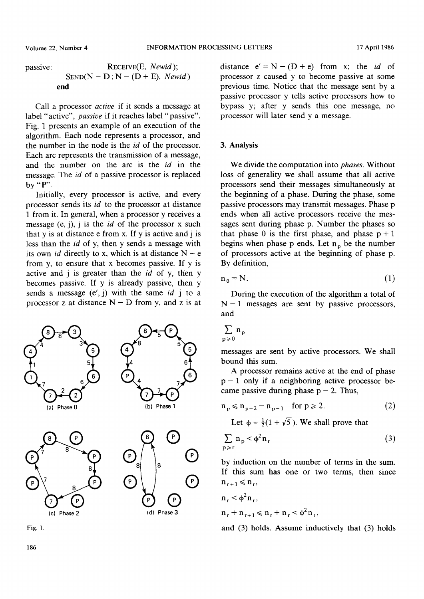passive: 
$$
RECEIVE(E, Newid);
$$
  
 
$$
SEND(N - D; N - (D + E), Newid)
$$
  
end

Call a processor *active* if it sends a message at label "active", *passive* if it reaches label "passive". Fig. 1 presents an example of an execution of the algorithm. Each node represents a processor, and the number in the node is the *id* of the processor. Each arc represents the transmission of a message, and the number on the arc is the *id* in the message. The *id* of a passive processor is replaced by "P".

Initially, every processor is active, and every processor sends its *id* to the processor at distance 1 from it. In general, when a processor y receives a message (e, j), j is the *id* of the processor x such that y is at distance e from x. If y is active and j is less than the *id* of y, then y sends a message with its own *id* directly to x, which is at distance  $N - e$ from y, to ensure that x becomes passive. If y is active and j is greater than the *id* of y, then y becomes passive. If y is already passive, then y sends a message (e', j) with the same *id* j to a processor z at distance  $N - D$  from y, and z is at



Fig. 1.

distance  $e' = N - (D + e)$  from x; the *id* of processor z caused y to become passive at some previous time. Notice that the message sent by a passive processor y tells active processors how to bypass y; after y sends this one message, no processor will later send y a message.

# 3. **Analysis**

We divide the computation into *phases.* Without loss of generality we shall assume that all active processors send their messages simultaneously at the beginning of a phase. During the phase, some passive processors may transmit messages. Phase p ends when all active processors receive the messages sent during phase p. Number the phases so that phase 0 is the first phase, and phase  $p + 1$ begins when phase p ends. Let  $n<sub>p</sub>$  be the number of processors active at the beginning of phase p. By definition,

$$
n_0 = N. \tag{1}
$$

During the execution of the algorithm a total of  $N-1$  messages are sent by passive processors, and

$$
\sum_{\mathbf{p}\geqslant 0}\mathbf{n}_{\mathbf{p}}
$$

messages are sent by active processors. We shall bound this sum.

A processor remains active at the end of phase  $p-1$  only if a neighboring active processor became passive during phase  $p - 2$ . Thus,

$$
n_p \le n_{p-2} - n_{p-1} \quad \text{for } p \ge 2. \tag{2}
$$

Let  $\phi = \frac{1}{2}(1 + \sqrt{5})$ . We shall prove that

$$
\sum_{p \ge r} n_p < \phi^2 n_r \tag{3}
$$

by induction on the number of terms in the sum. If this sum has one or two terms, then since  $n_{r+1} \leqslant n_r$ ,

$$
n_r < \phi^2 n_r,
$$
  
\n
$$
n_r + n_{r+1} \le n_r + n_r < \phi^2 n_r,
$$

and (3) holds. Assume inductively that (3) holds